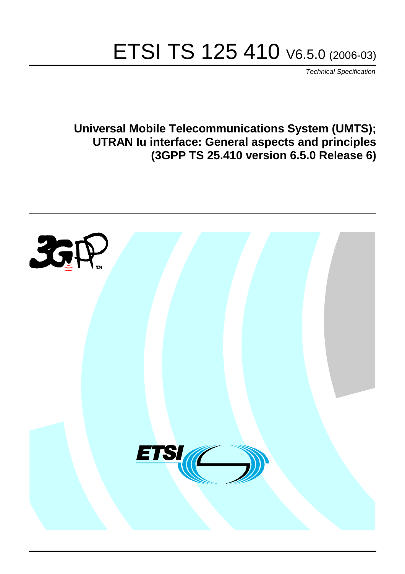# ETSI TS 125 410 V6.5.0 (2006-03)

Technical Specification

**Universal Mobile Telecommunications System (UMTS); UTRAN Iu interface: General aspects and principles (3GPP TS 25.410 version 6.5.0 Release 6)**

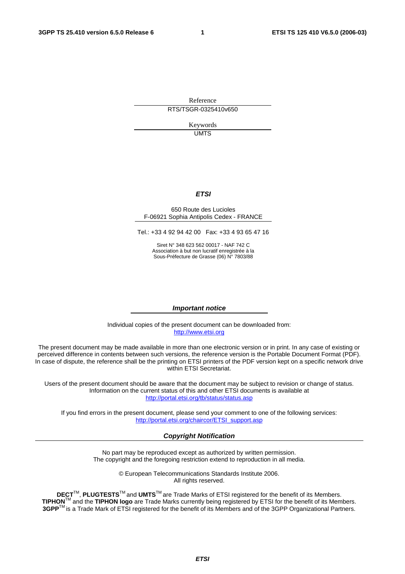Reference RTS/TSGR-0325410v650

> Keywords UMTS

#### **ETSI**

#### 650 Route des Lucioles F-06921 Sophia Antipolis Cedex - FRANCE

Tel.: +33 4 92 94 42 00 Fax: +33 4 93 65 47 16

Siret N° 348 623 562 00017 - NAF 742 C Association à but non lucratif enregistrée à la Sous-Préfecture de Grasse (06) N° 7803/88

#### **Important notice**

Individual copies of the present document can be downloaded from: [http://www.etsi.org](http://www.etsi.org/)

The present document may be made available in more than one electronic version or in print. In any case of existing or perceived difference in contents between such versions, the reference version is the Portable Document Format (PDF). In case of dispute, the reference shall be the printing on ETSI printers of the PDF version kept on a specific network drive within ETSI Secretariat.

Users of the present document should be aware that the document may be subject to revision or change of status. Information on the current status of this and other ETSI documents is available at <http://portal.etsi.org/tb/status/status.asp>

If you find errors in the present document, please send your comment to one of the following services: [http://portal.etsi.org/chaircor/ETSI\\_support.asp](http://portal.etsi.org/chaircor/ETSI_support.asp)

#### **Copyright Notification**

No part may be reproduced except as authorized by written permission. The copyright and the foregoing restriction extend to reproduction in all media.

> © European Telecommunications Standards Institute 2006. All rights reserved.

**DECT**TM, **PLUGTESTS**TM and **UMTS**TM are Trade Marks of ETSI registered for the benefit of its Members. **TIPHON**TM and the **TIPHON logo** are Trade Marks currently being registered by ETSI for the benefit of its Members. **3GPP**TM is a Trade Mark of ETSI registered for the benefit of its Members and of the 3GPP Organizational Partners.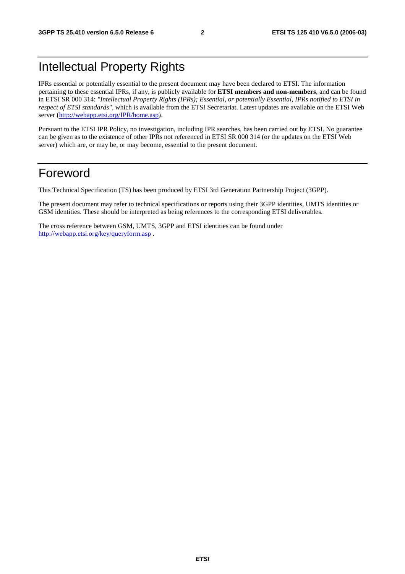## Intellectual Property Rights

IPRs essential or potentially essential to the present document may have been declared to ETSI. The information pertaining to these essential IPRs, if any, is publicly available for **ETSI members and non-members**, and can be found in ETSI SR 000 314: *"Intellectual Property Rights (IPRs); Essential, or potentially Essential, IPRs notified to ETSI in respect of ETSI standards"*, which is available from the ETSI Secretariat. Latest updates are available on the ETSI Web server ([http://webapp.etsi.org/IPR/home.asp\)](http://webapp.etsi.org/IPR/home.asp).

Pursuant to the ETSI IPR Policy, no investigation, including IPR searches, has been carried out by ETSI. No guarantee can be given as to the existence of other IPRs not referenced in ETSI SR 000 314 (or the updates on the ETSI Web server) which are, or may be, or may become, essential to the present document.

## Foreword

This Technical Specification (TS) has been produced by ETSI 3rd Generation Partnership Project (3GPP).

The present document may refer to technical specifications or reports using their 3GPP identities, UMTS identities or GSM identities. These should be interpreted as being references to the corresponding ETSI deliverables.

The cross reference between GSM, UMTS, 3GPP and ETSI identities can be found under <http://webapp.etsi.org/key/queryform.asp>.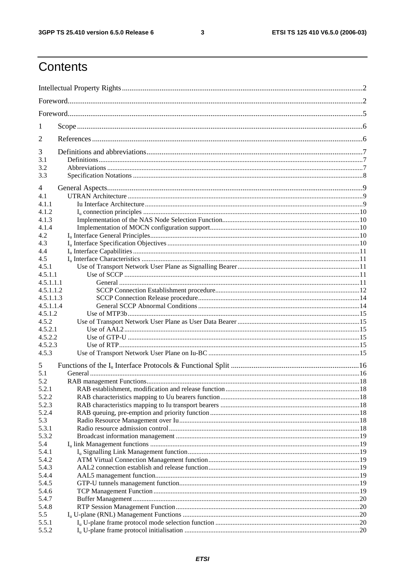$\mathbf{3}$ 

## Contents

| 1                |  |  |  |  |  |  |  |
|------------------|--|--|--|--|--|--|--|
| 2                |  |  |  |  |  |  |  |
| 3                |  |  |  |  |  |  |  |
| 3.1              |  |  |  |  |  |  |  |
| 3.2<br>3.3       |  |  |  |  |  |  |  |
| 4                |  |  |  |  |  |  |  |
| 4.1              |  |  |  |  |  |  |  |
| 4.1.1            |  |  |  |  |  |  |  |
| 4.1.2            |  |  |  |  |  |  |  |
| 4.1.3            |  |  |  |  |  |  |  |
| 4.1.4            |  |  |  |  |  |  |  |
| 4.2              |  |  |  |  |  |  |  |
| 4.3              |  |  |  |  |  |  |  |
| 4.4              |  |  |  |  |  |  |  |
| 4.5              |  |  |  |  |  |  |  |
| 4.5.1            |  |  |  |  |  |  |  |
| 4.5.1.1          |  |  |  |  |  |  |  |
| 4.5.1.1.1        |  |  |  |  |  |  |  |
| 4.5.1.1.2        |  |  |  |  |  |  |  |
| 4.5.1.1.3        |  |  |  |  |  |  |  |
| 4.5.1.1.4        |  |  |  |  |  |  |  |
| 4.5.1.2          |  |  |  |  |  |  |  |
| 4.5.2<br>4.5.2.1 |  |  |  |  |  |  |  |
| 4.5.2.2          |  |  |  |  |  |  |  |
| 4.5.2.3          |  |  |  |  |  |  |  |
| 4.5.3            |  |  |  |  |  |  |  |
| 5                |  |  |  |  |  |  |  |
| 5.1              |  |  |  |  |  |  |  |
| 5.2              |  |  |  |  |  |  |  |
| 5.2.1            |  |  |  |  |  |  |  |
| 5.2.2            |  |  |  |  |  |  |  |
| 5.2.3            |  |  |  |  |  |  |  |
| 5.2.4            |  |  |  |  |  |  |  |
| 5.3              |  |  |  |  |  |  |  |
| 5.3.1            |  |  |  |  |  |  |  |
| 5.3.2            |  |  |  |  |  |  |  |
| 5.4              |  |  |  |  |  |  |  |
| 5.4.1            |  |  |  |  |  |  |  |
| 5.4.2            |  |  |  |  |  |  |  |
| 5.4.3            |  |  |  |  |  |  |  |
| 5.4.4            |  |  |  |  |  |  |  |
| 5.4.5            |  |  |  |  |  |  |  |
| 5.4.6            |  |  |  |  |  |  |  |
| 5.4.7            |  |  |  |  |  |  |  |
| 5.4.8            |  |  |  |  |  |  |  |
| 5.5              |  |  |  |  |  |  |  |
| 5.5.1            |  |  |  |  |  |  |  |
| 5.5.2            |  |  |  |  |  |  |  |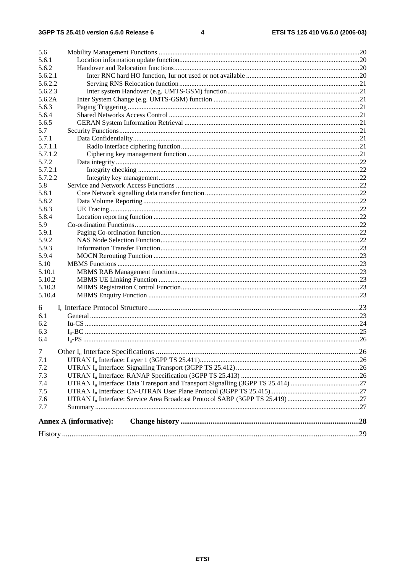| 5.6            |                               |  |
|----------------|-------------------------------|--|
| 5.6.1          |                               |  |
| 5.6.2          |                               |  |
| 5.6.2.1        |                               |  |
| 5.6.2.2        |                               |  |
| 5.6.2.3        |                               |  |
| 5.6.2A         |                               |  |
| 5.6.3          |                               |  |
| 5.6.4          |                               |  |
| 5.6.5          |                               |  |
| 5.7            |                               |  |
| 5.7.1          |                               |  |
| 5.7.1.1        |                               |  |
| 5.7.1.2        |                               |  |
| 5.7.2          |                               |  |
| 5.7.2.1        |                               |  |
| 5.7.2.2        |                               |  |
| 5.8            |                               |  |
| 5.8.1          |                               |  |
| 5.8.2          |                               |  |
| 5.8.3          |                               |  |
| 5.8.4          |                               |  |
| 5.9            |                               |  |
| 5.9.1          |                               |  |
| 5.9.2          |                               |  |
| 5.9.3          |                               |  |
| 5.9.4          |                               |  |
| 5.10           |                               |  |
| 5.10.1         |                               |  |
| 5.10.2         |                               |  |
| 5.10.3         |                               |  |
| 5.10.4         |                               |  |
|                |                               |  |
| 6              |                               |  |
| 6.1            |                               |  |
| 6.2            |                               |  |
| 6.3            |                               |  |
| 6.4            |                               |  |
| $\overline{7}$ |                               |  |
| 7.1            |                               |  |
| 7.2            |                               |  |
| 7.3            |                               |  |
| 7.4            |                               |  |
| 7.5            |                               |  |
| 7.6            |                               |  |
| 7.7            |                               |  |
|                | <b>Annex A (informative):</b> |  |
|                |                               |  |
|                |                               |  |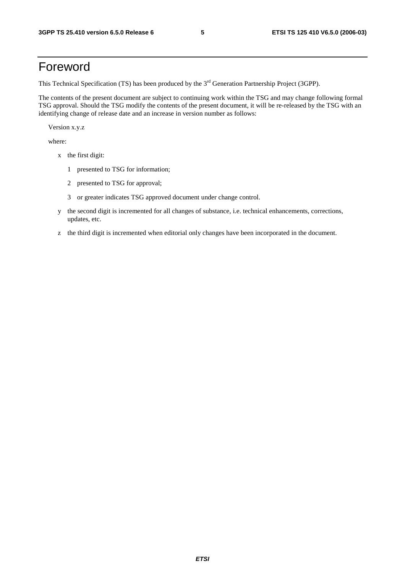## Foreword

This Technical Specification (TS) has been produced by the 3<sup>rd</sup> Generation Partnership Project (3GPP).

The contents of the present document are subject to continuing work within the TSG and may change following formal TSG approval. Should the TSG modify the contents of the present document, it will be re-released by the TSG with an identifying change of release date and an increase in version number as follows:

Version x.y.z

where:

- x the first digit:
	- 1 presented to TSG for information;
	- 2 presented to TSG for approval;
	- 3 or greater indicates TSG approved document under change control.
- y the second digit is incremented for all changes of substance, i.e. technical enhancements, corrections, updates, etc.
- z the third digit is incremented when editorial only changes have been incorporated in the document.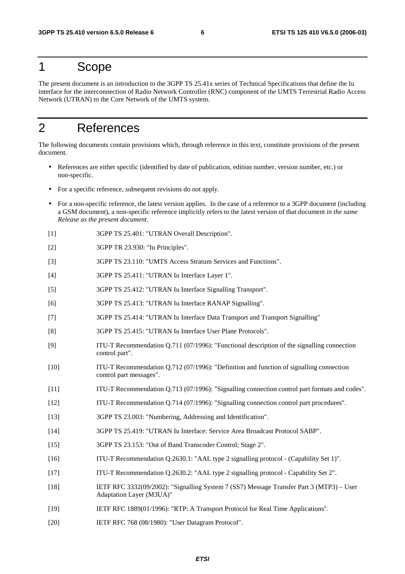### 1 Scope

The present document is an introduction to the 3GPP TS 25.41x series of Technical Specifications that define the Iu interface for the interconnection of Radio Network Controller (RNC) component of the UMTS Terrestrial Radio Access Network (UTRAN) to the Core Network of the UMTS system.

## 2 References

The following documents contain provisions which, through reference in this text, constitute provisions of the present document.

- References are either specific (identified by date of publication, edition number, version number, etc.) or non-specific.
- For a specific reference, subsequent revisions do not apply.
- For a non-specific reference, the latest version applies. In the case of a reference to a 3GPP document (including a GSM document), a non-specific reference implicitly refers to the latest version of that document *in the same Release as the present document*.
- [1] 3GPP TS 25.401: "UTRAN Overall Description".
- [2] 3GPP TR 23.930: "Iu Principles".
- [3] 3GPP TS 23.110: "UMTS Access Stratum Services and Functions".
- [4] 3GPP TS 25.411: "UTRAN Iu Interface Layer 1".
- [5] 3GPP TS 25.412: "UTRAN Iu Interface Signalling Transport".
- [6] 3GPP TS 25.413: "UTRAN Iu Interface RANAP Signalling".
- [7] 3GPP TS 25.414: "UTRAN Iu Interface Data Transport and Transport Signalling"
- [8] 3GPP TS 25.415: "UTRAN Iu Interface User Plane Protocols".
- [9] ITU-T Recommendation Q.711 (07/1996): "Functional description of the signalling connection control part".
- [10] ITU-T Recommendation Q.712 (07/1996): "Definition and function of signalling connection control part messages".
- [11] ITU-T Recommendation Q.713 (07/1996): "Signalling connection control part formats and codes".
- [12] ITU-T Recommendation Q.714 (07/1996): "Signalling connection control part procedures".
- [13] 3GPP TS 23.003: "Numbering, Addressing and Identification".
- [14] 3GPP TS 25.419: "UTRAN Iu Interface: Service Area Broadcast Protocol SABP".
- [15] 3GPP TS 23.153: "Out of Band Transcoder Control; Stage 2".
- [16] ITU-T Recommendation Q.2630.1: "AAL type 2 signalling protocol (Capability Set 1)".
- [17] ITU-T Recommendation Q.2630.2: "AAL type 2 signalling protocol Capability Set 2".
- [18] IETF RFC 3332(09/2002): "Signalling System 7 (SS7) Message Transfer Part 3 (MTP3) User Adaptation Layer (M3UA)"
- [19] IETF RFC 1889(01/1996): "RTP: A Transport Protocol for Real Time Applications".
- [20] IETF RFC 768 (08/1980): "User Datagram Protocol".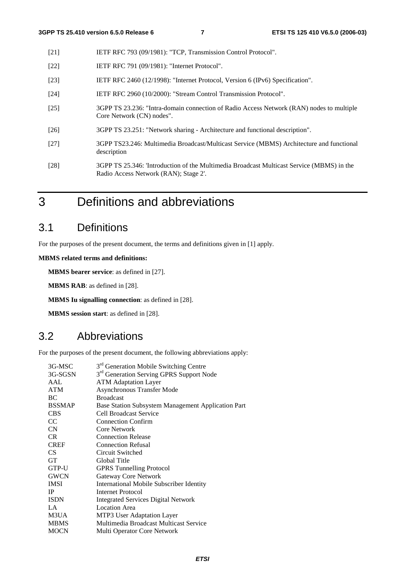- [21] IETF RFC 793 (09/1981): "TCP, Transmission Control Protocol".
- [22] **IETF RFC 791 (09/1981): "Internet Protocol".**
- [23] IETF RFC 2460 (12/1998): "Internet Protocol, Version 6 (IPv6) Specification".
- [24] IETF RFC 2960 (10/2000): "Stream Control Transmission Protocol".
- [25] 3GPP TS 23.236: "Intra-domain connection of Radio Access Network (RAN) nodes to multiple Core Network (CN) nodes".
- [26] 3GPP TS 23.251: "Network sharing Architecture and functional description".
- [27] 3GPP TS23.246: Multimedia Broadcast/Multicast Service (MBMS) Architecture and functional description
- [28] 3GPP TS 25.346: 'Introduction of the Multimedia Broadcast Multicast Service (MBMS) in the Radio Access Network (RAN); Stage 2'.
- 3 Definitions and abbreviations

### 3.1 Definitions

For the purposes of the present document, the terms and definitions given in [1] apply.

**MBMS related terms and definitions:** 

**MBMS bearer service**: as defined in [27].

**MBMS RAB**: as defined in [28].

**MBMS Iu signalling connection**: as defined in [28].

**MBMS session start**: as defined in [28].

### 3.2 Abbreviations

For the purposes of the present document, the following abbreviations apply:

| 3G-MSC          | 3 <sup>rd</sup> Generation Mobile Switching Centre   |
|-----------------|------------------------------------------------------|
| 3G-SGSN         | 3 <sup>rd</sup> Generation Serving GPRS Support Node |
| AAL             | <b>ATM Adaptation Layer</b>                          |
| <b>ATM</b>      | <b>Asynchronous Transfer Mode</b>                    |
| BC              | <b>Broadcast</b>                                     |
| <b>BSSMAP</b>   | Base Station Subsystem Management Application Part   |
| <b>CBS</b>      | Cell Broadcast Service                               |
| CC              | <b>Connection Confirm</b>                            |
| CN              | Core Network                                         |
| C <sub>R</sub>  | <b>Connection Release</b>                            |
| <b>CREF</b>     | <b>Connection Refusal</b>                            |
| CS <sup>-</sup> | Circuit Switched                                     |
| <b>GT</b>       | Global Title                                         |
| GTP-U           | <b>GPRS</b> Tunnelling Protocol                      |
| <b>GWCN</b>     | Gateway Core Network                                 |
| <b>IMSI</b>     | <b>International Mobile Subscriber Identity</b>      |
| IP              | Internet Protocol                                    |
| <b>ISDN</b>     | <b>Integrated Services Digital Network</b>           |
| LA              | <b>Location Area</b>                                 |
| M3UA            | MTP3 User Adaptation Layer                           |
| <b>MBMS</b>     | Multimedia Broadcast Multicast Service               |
| <b>MOCN</b>     | Multi Operator Core Network                          |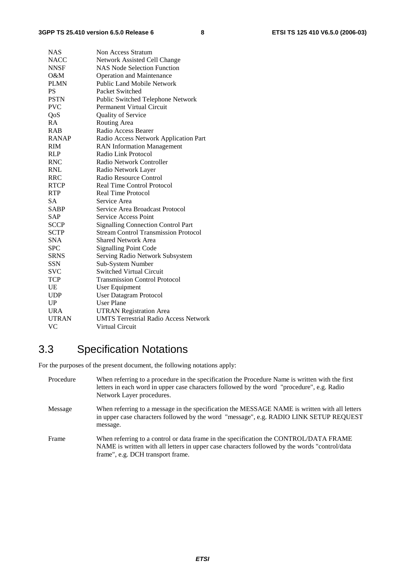| <b>NAS</b>   | Non Access Stratum                           |
|--------------|----------------------------------------------|
| <b>NACC</b>  | Network Assisted Cell Change                 |
| <b>NNSF</b>  | <b>NAS Node Selection Function</b>           |
| O&M          | <b>Operation and Maintenance</b>             |
| <b>PLMN</b>  | Public Land Mobile Network                   |
| <b>PS</b>    | Packet Switched                              |
| <b>PSTN</b>  | Public Switched Telephone Network            |
| <b>PVC</b>   | Permanent Virtual Circuit                    |
| QoS          | Quality of Service                           |
| RA           | Routing Area                                 |
| <b>RAB</b>   | Radio Access Bearer                          |
| <b>RANAP</b> | Radio Access Network Application Part        |
| <b>RIM</b>   | <b>RAN</b> Information Management            |
| RLP          | Radio Link Protocol                          |
| <b>RNC</b>   | Radio Network Controller                     |
| <b>RNL</b>   | Radio Network Layer                          |
| RRC          | Radio Resource Control                       |
| <b>RTCP</b>  | <b>Real Time Control Protocol</b>            |
| <b>RTP</b>   | <b>Real Time Protocol</b>                    |
| <b>SA</b>    | Service Area                                 |
| <b>SABP</b>  | Service Area Broadcast Protocol              |
| <b>SAP</b>   | <b>Service Access Point</b>                  |
| <b>SCCP</b>  | <b>Signalling Connection Control Part</b>    |
| <b>SCTP</b>  | <b>Stream Control Transmission Protocol</b>  |
| <b>SNA</b>   | <b>Shared Network Area</b>                   |
| <b>SPC</b>   | <b>Signalling Point Code</b>                 |
| <b>SRNS</b>  | Serving Radio Network Subsystem              |
| <b>SSN</b>   | Sub-System Number                            |
| SVC          | <b>Switched Virtual Circuit</b>              |
| <b>TCP</b>   | <b>Transmission Control Protocol</b>         |
| UE           | User Equipment                               |
| <b>UDP</b>   | User Datagram Protocol                       |
| UP           | <b>User Plane</b>                            |
| <b>URA</b>   | <b>UTRAN Registration Area</b>               |
| <b>UTRAN</b> | <b>UMTS Terrestrial Radio Access Network</b> |
| VC           | Virtual Circuit                              |

## 3.3 Specification Notations

For the purposes of the present document, the following notations apply:

| Procedure | When referring to a procedure in the specification the Procedure Name is written with the first<br>letters in each word in upper case characters followed by the word "procedure", e.g. Radio<br>Network Layer procedures.   |
|-----------|------------------------------------------------------------------------------------------------------------------------------------------------------------------------------------------------------------------------------|
| Message   | When referring to a message in the specification the MESSAGE NAME is written with all letters<br>in upper case characters followed by the word "message", e.g. RADIO LINK SETUP REQUEST<br>message.                          |
| Frame     | When referring to a control or data frame in the specification the CONTROL/DATA FRAME<br>NAME is written with all letters in upper case characters followed by the words "control/data"<br>frame", e.g. DCH transport frame. |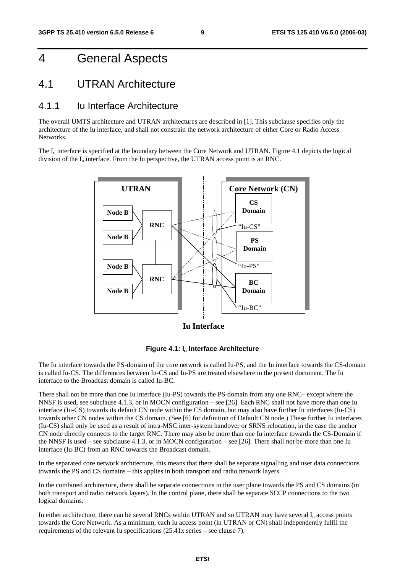## 4 General Aspects

### 4.1 UTRAN Architecture

#### 4.1.1 Iu Interface Architecture

The overall UMTS architecture and UTRAN architectures are described in [1]. This subclause specifies only the architecture of the Iu interface, and shall not constrain the network architecture of either Core or Radio Access Networks.

The  $I_{\text{u}}$  interface is specified at the boundary between the Core Network and UTRAN. Figure 4.1 depicts the logical division of the  $I_u$  interface. From the Iu perspective, the UTRAN access point is an RNC.



**Iu Interface**



The Iu interface towards the PS-domain of the core network is called Iu-PS, and the Iu interface towards the CS-domain is called Iu-CS. The differences between Iu-CS and Iu-PS are treated elsewhere in the present document. The Iu interface to the Broadcast domain is called Iu-BC.

There shall not be more than one Iu interface (Iu-PS) towards the PS-domain from any one RNC– except where the NNSF is used, see subclause 4.1.3, or in MOCN configuration – see [26]. Each RNC shall not have more than one Iu interface (Iu-CS) towards its default CN node within the CS domain, but may also have further Iu interfaces (Iu-CS) towards other CN nodes within the CS domain. (See [6] for definition of Default CN node.) These further Iu interfaces (Iu-CS) shall only be used as a result of intra-MSC inter-system handover or SRNS relocation, in the case the anchor CN node directly connects to the target RNC. There may also be more than one Iu interface towards the CS-Domain if the NNSF is used – see subclause 4.1.3, or in MOCN configuration – see [26]. There shall not be more than one Iu interface (Iu-BC) from an RNC towards the Broadcast domain.

In the separated core network architecture, this means that there shall be separate signalling and user data connections towards the PS and CS domains – this applies in both transport and radio network layers.

In the combined architecture, there shall be separate connections in the user plane towards the PS and CS domains (in both transport and radio network layers). In the control plane, there shall be separate SCCP connections to the two logical domains.

In either architecture, there can be several RNCs within UTRAN and so UTRAN may have several  $I<sub>u</sub>$  access points towards the Core Network. As a minimum, each Iu access point (in UTRAN or CN) shall independently fulfil the requirements of the relevant Iu specifications (25.41x series – see clause 7).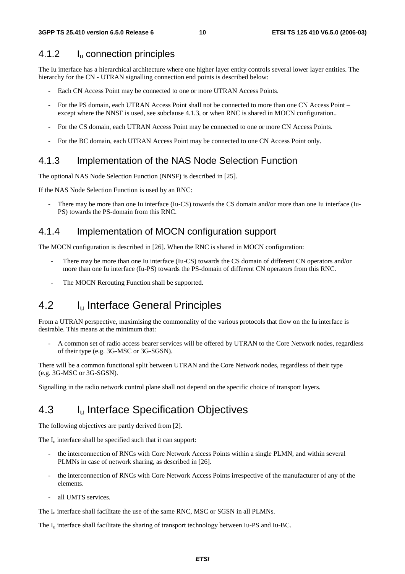#### 4.1.2 Iu connection principles

The Iu interface has a hierarchical architecture where one higher layer entity controls several lower layer entities. The hierarchy for the CN - UTRAN signalling connection end points is described below:

- Each CN Access Point may be connected to one or more UTRAN Access Points.
- For the PS domain, each UTRAN Access Point shall not be connected to more than one CN Access Point except where the NNSF is used, see subclause 4.1.3, or when RNC is shared in MOCN configuration..
- For the CS domain, each UTRAN Access Point may be connected to one or more CN Access Points.
- For the BC domain, each UTRAN Access Point may be connected to one CN Access Point only.

#### 4.1.3 Implementation of the NAS Node Selection Function

The optional NAS Node Selection Function (NNSF) is described in [25].

If the NAS Node Selection Function is used by an RNC:

There may be more than one Iu interface (Iu-CS) towards the CS domain and/or more than one Iu interface (Iu-PS) towards the PS-domain from this RNC.

#### 4.1.4 Implementation of MOCN configuration support

The MOCN configuration is described in [26]. When the RNC is shared in MOCN configuration:

- There may be more than one Iu interface (Iu-CS) towards the CS domain of different CN operators and/or more than one Iu interface (Iu-PS) towards the PS-domain of different CN operators from this RNC.
- The MOCN Rerouting Function shall be supported.

### 4.2 I<sub>u</sub> Interface General Principles

From a UTRAN perspective, maximising the commonality of the various protocols that flow on the Iu interface is desirable. This means at the minimum that:

- A common set of radio access bearer services will be offered by UTRAN to the Core Network nodes, regardless of their type (e.g. 3G-MSC or 3G-SGSN).

There will be a common functional split between UTRAN and the Core Network nodes, regardless of their type (e.g. 3G-MSC or 3G-SGSN).

Signalling in the radio network control plane shall not depend on the specific choice of transport layers.

### 4.3 I<sub>u</sub> Interface Specification Objectives

The following objectives are partly derived from [2].

The  $I_{\nu}$  interface shall be specified such that it can support:

- the interconnection of RNCs with Core Network Access Points within a single PLMN, and within several PLMNs in case of network sharing, as described in [26].
- the interconnection of RNCs with Core Network Access Points irrespective of the manufacturer of any of the elements.
- all UMTS services.

The  $I<sub>u</sub>$  interface shall facilitate the use of the same RNC, MSC or SGSN in all PLMNs.

The I<sub>u</sub> interface shall facilitate the sharing of transport technology between Iu-PS and Iu-BC.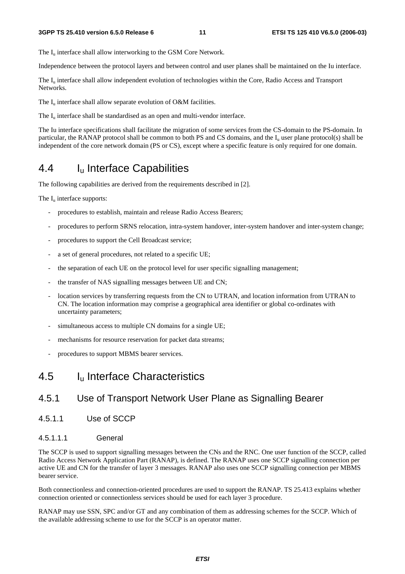The  $I_{\text{u}}$  interface shall allow interworking to the GSM Core Network.

Independence between the protocol layers and between control and user planes shall be maintained on the Iu interface.

The I<sub>u</sub> interface shall allow independent evolution of technologies within the Core, Radio Access and Transport Networks.

The  $I_u$  interface shall allow separate evolution of O&M facilities.

The  $I_{\text{u}}$  interface shall be standardised as an open and multi-vendor interface.

The Iu interface specifications shall facilitate the migration of some services from the CS-domain to the PS-domain. In particular, the RANAP protocol shall be common to both PS and CS domains, and the  $I<sub>u</sub>$  user plane protocol(s) shall be independent of the core network domain (PS or CS), except where a specific feature is only required for one domain.

### 4.4 Iu Interface Capabilities

The following capabilities are derived from the requirements described in [2].

The  $I_{\text{u}}$  interface supports:

- procedures to establish, maintain and release Radio Access Bearers;
- procedures to perform SRNS relocation, intra-system handover, inter-system handover and inter-system change;
- procedures to support the Cell Broadcast service;
- a set of general procedures, not related to a specific UE;
- the separation of each UE on the protocol level for user specific signalling management;
- the transfer of NAS signalling messages between UE and CN;
- location services by transferring requests from the CN to UTRAN, and location information from UTRAN to CN. The location information may comprise a geographical area identifier or global co-ordinates with uncertainty parameters;
- simultaneous access to multiple CN domains for a single UE;
- mechanisms for resource reservation for packet data streams;
- procedures to support MBMS bearer services.

### 4.5 Iu Interface Characteristics

#### 4.5.1 Use of Transport Network User Plane as Signalling Bearer

4.5.1.1 Use of SCCP

#### 4.5.1.1.1 General

The SCCP is used to support signalling messages between the CNs and the RNC. One user function of the SCCP, called Radio Access Network Application Part (RANAP), is defined. The RANAP uses one SCCP signalling connection per active UE and CN for the transfer of layer 3 messages. RANAP also uses one SCCP signalling connection per MBMS bearer service.

Both connectionless and connection-oriented procedures are used to support the RANAP. TS 25.413 explains whether connection oriented or connectionless services should be used for each layer 3 procedure.

RANAP may use SSN, SPC and/or GT and any combination of them as addressing schemes for the SCCP. Which of the available addressing scheme to use for the SCCP is an operator matter.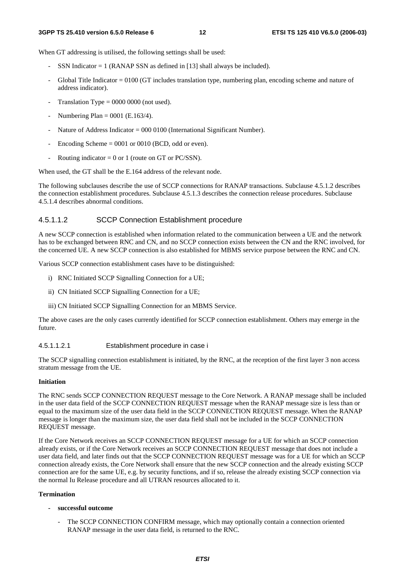When GT addressing is utilised, the following settings shall be used:

- SSN Indicator  $= 1$  (RANAP SSN as defined in [13] shall always be included).
- Global Title Indicator = 0100 (GT includes translation type, numbering plan, encoding scheme and nature of address indicator).
- Translation Type =  $0000 0000$  (not used).
- Numbering Plan =  $0001$  (E.163/4).
- Nature of Address Indicator = 000 0100 (International Significant Number).
- Encoding Scheme  $= 0001$  or 0010 (BCD, odd or even).
- Routing indicator = 0 or 1 (route on GT or PC/SSN).

When used, the GT shall be the E.164 address of the relevant node.

The following subclauses describe the use of SCCP connections for RANAP transactions. Subclause 4.5.1.2 describes the connection establishment procedures. Subclause 4.5.1.3 describes the connection release procedures. Subclause 4.5.1.4 describes abnormal conditions.

#### 4.5.1.1.2 SCCP Connection Establishment procedure

A new SCCP connection is established when information related to the communication between a UE and the network has to be exchanged between RNC and CN, and no SCCP connection exists between the CN and the RNC involved, for the concerned UE. A new SCCP connection is also established for MBMS service purpose between the RNC and CN.

Various SCCP connection establishment cases have to be distinguished:

- i) RNC Initiated SCCP Signalling Connection for a UE;
- ii) CN Initiated SCCP Signalling Connection for a UE;
- iii) CN Initiated SCCP Signalling Connection for an MBMS Service.

The above cases are the only cases currently identified for SCCP connection establishment. Others may emerge in the future.

#### 4.5.1.1.2.1 Establishment procedure in case i

The SCCP signalling connection establishment is initiated, by the RNC, at the reception of the first layer 3 non access stratum message from the UE.

#### **Initiation**

The RNC sends SCCP CONNECTION REQUEST message to the Core Network. A RANAP message shall be included in the user data field of the SCCP CONNECTION REQUEST message when the RANAP message size is less than or equal to the maximum size of the user data field in the SCCP CONNECTION REQUEST message. When the RANAP message is longer than the maximum size, the user data field shall not be included in the SCCP CONNECTION REQUEST message.

If the Core Network receives an SCCP CONNECTION REQUEST message for a UE for which an SCCP connection already exists, or if the Core Network receives an SCCP CONNECTION REQUEST message that does not include a user data field, and later finds out that the SCCP CONNECTION REQUEST message was for a UE for which an SCCP connection already exists, the Core Network shall ensure that the new SCCP connection and the already existing SCCP connection are for the same UE, e.g. by security functions, and if so, release the already existing SCCP connection via the normal Iu Release procedure and all UTRAN resources allocated to it.

#### **Termination**

- **successful outcome** 
	- The SCCP CONNECTION CONFIRM message, which may optionally contain a connection oriented RANAP message in the user data field, is returned to the RNC.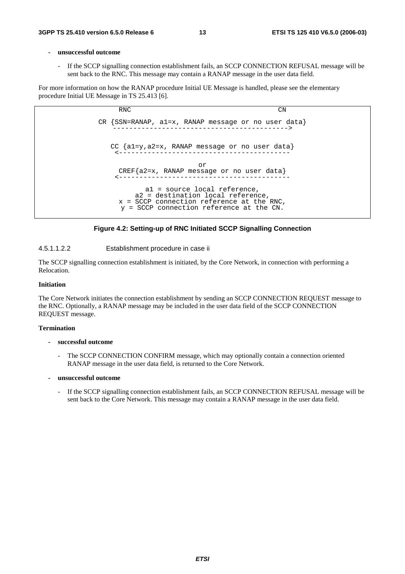#### **- unsuccessful outcome**

If the SCCP signalling connection establishment fails, an SCCP CONNECTION REFUSAL message will be sent back to the RNC. This message may contain a RANAP message in the user data field.

For more information on how the RANAP procedure Initial UE Message is handled, please see the elementary procedure Initial UE Message in TS 25.413 [6].





#### 4.5.1.1.2.2 Establishment procedure in case ii

The SCCP signalling connection establishment is initiated, by the Core Network, in connection with performing a Relocation.

#### **Initiation**

The Core Network initiates the connection establishment by sending an SCCP CONNECTION REQUEST message to the RNC. Optionally, a RANAP message may be included in the user data field of the SCCP CONNECTION REQUEST message.

#### **Termination**

#### **- successful outcome**

The SCCP CONNECTION CONFIRM message, which may optionally contain a connection oriented RANAP message in the user data field, is returned to the Core Network.

#### **- unsuccessful outcome**

- If the SCCP signalling connection establishment fails, an SCCP CONNECTION REFUSAL message will be sent back to the Core Network. This message may contain a RANAP message in the user data field.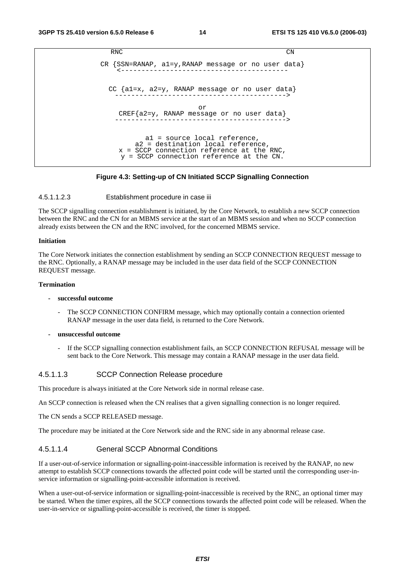```
RNC CN
CR {SSN=RANAP, a1=y,RANAP message or no user data} 
    <----------------------------------------- 
 CC {a1=x, a2=y, RANAP message or no user data} 
   ------------------------------------------> 
                      or 
   CREF{a2=y, RANAP message or no user data} 
   ------------------------------------------> 
          a1 = source local reference, 
        a2 = destination local reference, 
    x = SCCP connection reference at the RNC, 
    y = SCCP connection reference at the CN.
```
#### **Figure 4.3: Setting-up of CN Initiated SCCP Signalling Connection**

#### 4.5.1.1.2.3 Establishment procedure in case iii

The SCCP signalling connection establishment is initiated, by the Core Network, to establish a new SCCP connection between the RNC and the CN for an MBMS service at the start of an MBMS session and when no SCCP connection already exists between the CN and the RNC involved, for the concerned MBMS service.

#### **Initiation**

The Core Network initiates the connection establishment by sending an SCCP CONNECTION REQUEST message to the RNC. Optionally, a RANAP message may be included in the user data field of the SCCP CONNECTION REQUEST message.

#### **Termination**

#### **- successful outcome**

- The SCCP CONNECTION CONFIRM message, which may optionally contain a connection oriented RANAP message in the user data field, is returned to the Core Network.
- **unsuccessful outcome** 
	- If the SCCP signalling connection establishment fails, an SCCP CONNECTION REFUSAL message will be sent back to the Core Network. This message may contain a RANAP message in the user data field.

#### 4.5.1.1.3 SCCP Connection Release procedure

This procedure is always initiated at the Core Network side in normal release case.

An SCCP connection is released when the CN realises that a given signalling connection is no longer required.

The CN sends a SCCP RELEASED message.

The procedure may be initiated at the Core Network side and the RNC side in any abnormal release case.

#### 4.5.1.1.4 General SCCP Abnormal Conditions

If a user-out-of-service information or signalling-point-inaccessible information is received by the RANAP, no new attempt to establish SCCP connections towards the affected point code will be started until the corresponding user-inservice information or signalling-point-accessible information is received.

When a user-out-of-service information or signalling-point-inaccessible is received by the RNC, an optional timer may be started. When the timer expires, all the SCCP connections towards the affected point code will be released. When the user-in-service or signalling-point-accessible is received, the timer is stopped.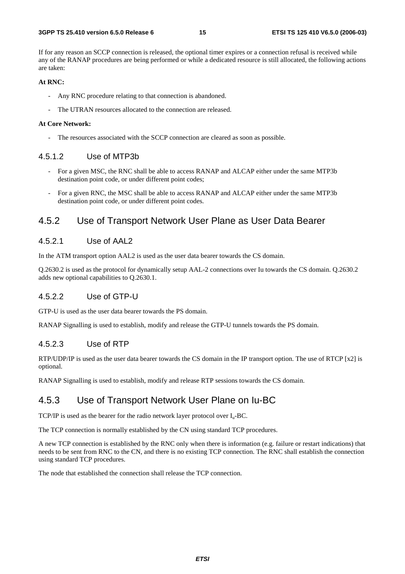If for any reason an SCCP connection is released, the optional timer expires or a connection refusal is received while any of the RANAP procedures are being performed or while a dedicated resource is still allocated, the following actions are taken:

#### **At RNC:**

- Any RNC procedure relating to that connection is abandoned.
- The UTRAN resources allocated to the connection are released.

#### **At Core Network:**

The resources associated with the SCCP connection are cleared as soon as possible.

#### 4.5.1.2 Use of MTP3b

- For a given MSC, the RNC shall be able to access RANAP and ALCAP either under the same MTP3b destination point code, or under different point codes;
- For a given RNC, the MSC shall be able to access RANAP and ALCAP either under the same MTP3b destination point code, or under different point codes.

#### 4.5.2 Use of Transport Network User Plane as User Data Bearer

#### 4.5.2.1 Use of AAL2

In the ATM transport option AAL2 is used as the user data bearer towards the CS domain.

Q.2630.2 is used as the protocol for dynamically setup AAL-2 connections over Iu towards the CS domain. Q.2630.2 adds new optional capabilities to Q.2630.1.

#### 4.5.2.2 Use of GTP-U

GTP-U is used as the user data bearer towards the PS domain.

RANAP Signalling is used to establish, modify and release the GTP-U tunnels towards the PS domain.

#### 4.5.2.3 Use of RTP

RTP/UDP/IP is used as the user data bearer towards the CS domain in the IP transport option. The use of RTCP [x2] is optional.

RANAP Signalling is used to establish, modify and release RTP sessions towards the CS domain.

#### 4.5.3 Use of Transport Network User Plane on Iu-BC

TCP/IP is used as the bearer for the radio network layer protocol over  $I_u$ -BC.

The TCP connection is normally established by the CN using standard TCP procedures.

A new TCP connection is established by the RNC only when there is information (e.g. failure or restart indications) that needs to be sent from RNC to the CN, and there is no existing TCP connection. The RNC shall establish the connection using standard TCP procedures.

The node that established the connection shall release the TCP connection.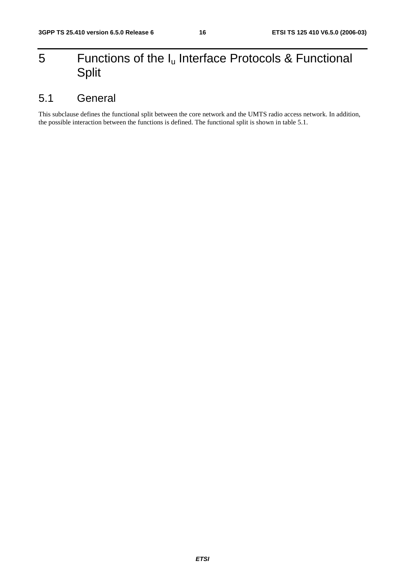## 5 Functions of the  $I_u$  Interface Protocols & Functional Split

### 5.1 General

This subclause defines the functional split between the core network and the UMTS radio access network. In addition, the possible interaction between the functions is defined. The functional split is shown in table 5.1.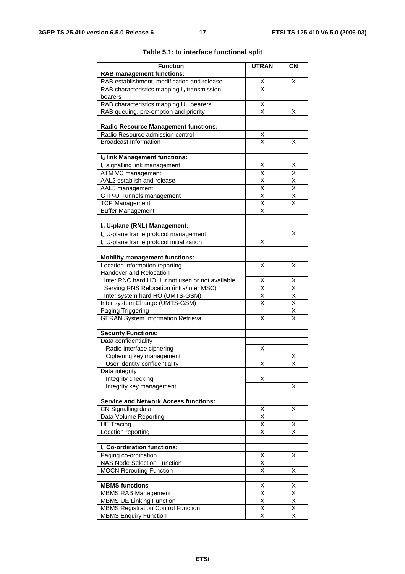| <b>Function</b>                                                                 | <b>UTRAN</b>                    | <b>CN</b>                       |
|---------------------------------------------------------------------------------|---------------------------------|---------------------------------|
| <b>RAB</b> management functions:                                                |                                 |                                 |
| RAB establishment, modification and release                                     | $\frac{\mathsf{X}}{\mathsf{X}}$ | х                               |
| RAB characteristics mapping $I_u$ transmission                                  |                                 |                                 |
| bearers                                                                         |                                 |                                 |
| RAB characteristics mapping Uu bearers<br>RAB queuing, pre-emption and priority | Χ<br>X                          | х                               |
|                                                                                 |                                 |                                 |
| <b>Radio Resource Management functions:</b>                                     |                                 |                                 |
| Radio Resource admission control                                                | $\overline{\mathsf{X}}$         |                                 |
| <b>Broadcast Information</b>                                                    | $\overline{\mathsf{x}}$         | х                               |
| Iu link Management functions:                                                   |                                 |                                 |
| I <sub>u</sub> signalling link management                                       | X                               | X                               |
| ATM VC management                                                               | X                               | Χ                               |
| AAL2 establish and release                                                      | X                               | $\overline{\mathsf{x}}$         |
| AAL5 management                                                                 | $\overline{\mathsf{x}}$         | $\overline{\mathsf{x}}$         |
| GTP-U Tunnels management                                                        | X                               | X                               |
| <b>TCP Management</b>                                                           | $\overline{\mathsf{x}}$         | $\overline{\mathsf{x}}$         |
| <b>Buffer Management</b>                                                        | X                               |                                 |
|                                                                                 |                                 |                                 |
| Iu U-plane (RNL) Management:                                                    |                                 |                                 |
| I <sub>u</sub> U-plane frame protocol management                                |                                 | X                               |
| I <sub>u</sub> U-plane frame protocol initialization                            | X                               |                                 |
| <b>Mobility management functions:</b>                                           |                                 |                                 |
| Location information reporting                                                  | Χ                               | х                               |
| Handover and Relocation                                                         |                                 |                                 |
| Inter RNC hard HO, lur not used or not available                                | х                               | х                               |
| Serving RNS Relocation (intra/inter MSC)                                        | $\overline{\mathsf{x}}$         | $\overline{\mathsf{x}}$         |
| Inter system hard HO (UMTS-GSM)                                                 | X                               | $\overline{\mathsf{x}}$         |
| Inter system Change (UMTS-GSM)                                                  | Χ                               |                                 |
| Paging Triggering                                                               |                                 | $\frac{\mathsf{X}}{\mathsf{X}}$ |
| <b>GERAN System Information Retrieval</b>                                       | X                               | $\overline{\mathsf{x}}$         |
| <b>Security Functions:</b>                                                      |                                 |                                 |
| Data confidentiality                                                            |                                 |                                 |
| Radio interface ciphering                                                       | х                               |                                 |
| Ciphering key management                                                        |                                 | х                               |
| User identity confidentiality                                                   | х                               | х                               |
| Data integrity                                                                  |                                 |                                 |
| Integrity checking                                                              | Χ                               |                                 |
| Integrity key management                                                        |                                 | Χ                               |
|                                                                                 |                                 |                                 |
| <b>Service and Network Access functions:</b>                                    |                                 |                                 |
| CN Signalling data<br>Data Volume Reporting                                     | Χ<br>$\overline{\mathsf{x}}$    | X                               |
| <b>UE Tracing</b>                                                               | $\overline{\mathsf{x}}$         | х                               |
| Location reporting                                                              | Χ                               | X                               |
|                                                                                 |                                 |                                 |
| I <sub>u</sub> Co-ordination functions:                                         |                                 |                                 |
| Paging co-ordination                                                            | Χ                               | х                               |
| <b>NAS Node Selection Function</b>                                              | Χ                               |                                 |
| <b>MOCN Rerouting Function</b>                                                  | $\overline{\mathsf{x}}$         | Χ                               |
| <b>MBMS functions</b>                                                           |                                 |                                 |
| <b>MBMS RAB Management</b>                                                      | Х<br>$\overline{\mathsf{x}}$    | х<br>$\overline{\mathsf{x}}$    |
| <b>MBMS UE Linking Function</b>                                                 | $\overline{X}$                  | $\overline{X}$                  |
| <b>MBMS Registration Control Function</b>                                       | Χ                               | X                               |
| <b>MBMS Enquiry Function</b>                                                    | $\overline{\mathsf{x}}$         | X                               |
|                                                                                 |                                 |                                 |

#### **Table 5.1: Iu interface functional split**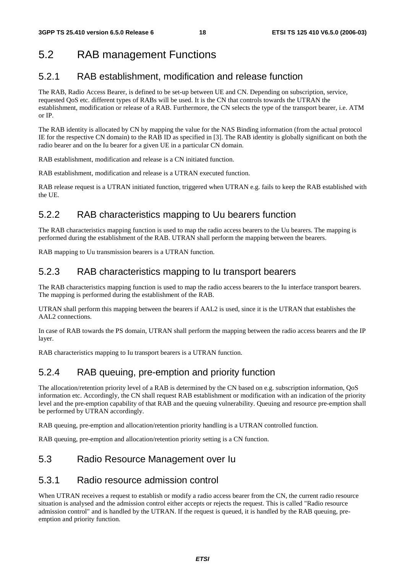## 5.2 RAB management Functions

### 5.2.1 RAB establishment, modification and release function

The RAB, Radio Access Bearer, is defined to be set-up between UE and CN. Depending on subscription, service, requested QoS etc. different types of RABs will be used. It is the CN that controls towards the UTRAN the establishment, modification or release of a RAB. Furthermore, the CN selects the type of the transport bearer, i.e. ATM or IP.

The RAB identity is allocated by CN by mapping the value for the NAS Binding information (from the actual protocol IE for the respective CN domain) to the RAB ID as specified in [3]. The RAB identity is globally significant on both the radio bearer and on the Iu bearer for a given UE in a particular CN domain.

RAB establishment, modification and release is a CN initiated function.

RAB establishment, modification and release is a UTRAN executed function.

RAB release request is a UTRAN initiated function, triggered when UTRAN e.g. fails to keep the RAB established with the UE.

### 5.2.2 RAB characteristics mapping to Uu bearers function

The RAB characteristics mapping function is used to map the radio access bearers to the Uu bearers. The mapping is performed during the establishment of the RAB. UTRAN shall perform the mapping between the bearers.

RAB mapping to Uu transmission bearers is a UTRAN function.

### 5.2.3 RAB characteristics mapping to Iu transport bearers

The RAB characteristics mapping function is used to map the radio access bearers to the Iu interface transport bearers. The mapping is performed during the establishment of the RAB.

UTRAN shall perform this mapping between the bearers if AAL2 is used, since it is the UTRAN that establishes the AAL2 connections.

In case of RAB towards the PS domain, UTRAN shall perform the mapping between the radio access bearers and the IP layer.

RAB characteristics mapping to Iu transport bearers is a UTRAN function.

### 5.2.4 RAB queuing, pre-emption and priority function

The allocation/retention priority level of a RAB is determined by the CN based on e.g. subscription information, QoS information etc. Accordingly, the CN shall request RAB establishment or modification with an indication of the priority level and the pre-emption capability of that RAB and the queuing vulnerability. Queuing and resource pre-emption shall be performed by UTRAN accordingly.

RAB queuing, pre-emption and allocation/retention priority handling is a UTRAN controlled function.

RAB queuing, pre-emption and allocation/retention priority setting is a CN function.

### 5.3 Radio Resource Management over Iu

#### 5.3.1 Radio resource admission control

When UTRAN receives a request to establish or modify a radio access bearer from the CN, the current radio resource situation is analysed and the admission control either accepts or rejects the request. This is called "Radio resource admission control" and is handled by the UTRAN. If the request is queued, it is handled by the RAB queuing, preemption and priority function.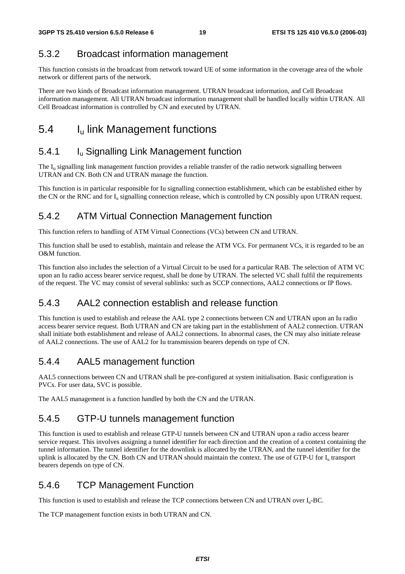### 5.3.2 Broadcast information management

This function consists in the broadcast from network toward UE of some information in the coverage area of the whole network or different parts of the network.

There are two kinds of Broadcast information management. UTRAN broadcast information, and Cell Broadcast information management. All UTRAN broadcast information management shall be handled locally within UTRAN. All Cell Broadcast information is controlled by CN and executed by UTRAN.

## 5.4 I<sub>u</sub> link Management functions

### 5.4.1 **I**<sub>u</sub> Signalling Link Management function

The I<sub>u</sub> signalling link management function provides a reliable transfer of the radio network signalling between UTRAN and CN. Both CN and UTRAN manage the function.

This function is in particular responsible for Iu signalling connection establishment, which can be established either by the CN or the RNC and for  $I_u$  signalling connection release, which is controlled by CN possibly upon UTRAN request.

### 5.4.2 ATM Virtual Connection Management function

This function refers to handling of ATM Virtual Connections (VCs) between CN and UTRAN.

This function shall be used to establish, maintain and release the ATM VCs. For permanent VCs, it is regarded to be an O&M function.

This function also includes the selection of a Virtual Circuit to be used for a particular RAB. The selection of ATM VC upon an Iu radio access bearer service request, shall be done by UTRAN. The selected VC shall fulfil the requirements of the request. The VC may consist of several sublinks: such as SCCP connections, AAL2 connections or IP flows.

### 5.4.3 AAL2 connection establish and release function

This function is used to establish and release the AAL type 2 connections between CN and UTRAN upon an Iu radio access bearer service request. Both UTRAN and CN are taking part in the establishment of AAL2 connection. UTRAN shall initiate both establishment and release of AAL2 connections. In abnormal cases, the CN may also initiate release of AAL2 connections. The use of AAL2 for Iu transmission bearers depends on type of CN.

### 5.4.4 AAL5 management function

AAL5 connections between CN and UTRAN shall be pre-configured at system initialisation. Basic configuration is PVCs. For user data, SVC is possible.

The AAL5 management is a function handled by both the CN and the UTRAN.

#### 5.4.5 GTP-U tunnels management function

This function is used to establish and release GTP-U tunnels between CN and UTRAN upon a radio access bearer service request. This involves assigning a tunnel identifier for each direction and the creation of a context containing the tunnel information. The tunnel identifier for the downlink is allocated by the UTRAN, and the tunnel identifier for the uplink is allocated by the CN. Both CN and UTRAN should maintain the context. The use of GTP-U for I<sub>u</sub> transport bearers depends on type of CN.

### 5.4.6 TCP Management Function

This function is used to establish and release the TCP connections between CN and UTRAN over Iu-BC.

The TCP management function exists in both UTRAN and CN.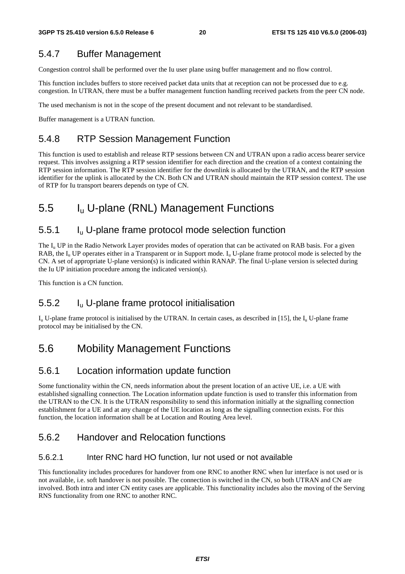### 5.4.7 Buffer Management

Congestion control shall be performed over the Iu user plane using buffer management and no flow control.

This function includes buffers to store received packet data units that at reception can not be processed due to e.g. congestion. In UTRAN, there must be a buffer management function handling received packets from the peer CN node.

The used mechanism is not in the scope of the present document and not relevant to be standardised.

Buffer management is a UTRAN function.

### 5.4.8 RTP Session Management Function

This function is used to establish and release RTP sessions between CN and UTRAN upon a radio access bearer service request. This involves assigning a RTP session identifier for each direction and the creation of a context containing the RTP session information. The RTP session identifier for the downlink is allocated by the UTRAN, and the RTP session identifier for the uplink is allocated by the CN. Both CN and UTRAN should maintain the RTP session context. The use of RTP for Iu transport bearers depends on type of CN.

## 5.5 Iu U-plane (RNL) Management Functions

### 5.5.1 Iu U-plane frame protocol mode selection function

The  $I_{\rm u}$  UP in the Radio Network Layer provides modes of operation that can be activated on RAB basis. For a given RAB, the  $I_{\rm u}$  UP operates either in a Transparent or in Support mode.  $I_{\rm u}$  U-plane frame protocol mode is selected by the CN. A set of appropriate U-plane version(s) is indicated within RANAP. The final U-plane version is selected during the Iu UP initiation procedure among the indicated version(s).

This function is a CN function.

### 5.5.2 Iu U-plane frame protocol initialisation

 $I_{u}$  U-plane frame protocol is initialised by the UTRAN. In certain cases, as described in [15], the  $I_{u}$  U-plane frame protocol may be initialised by the CN.

### 5.6 Mobility Management Functions

### 5.6.1 Location information update function

Some functionality within the CN, needs information about the present location of an active UE, i.e. a UE with established signalling connection. The Location information update function is used to transfer this information from the UTRAN to the CN. It is the UTRAN responsibility to send this information initially at the signalling connection establishment for a UE and at any change of the UE location as long as the signalling connection exists. For this function, the location information shall be at Location and Routing Area level.

### 5.6.2 Handover and Relocation functions

#### 5.6.2.1 Inter RNC hard HO function, Iur not used or not available

This functionality includes procedures for handover from one RNC to another RNC when Iur interface is not used or is not available, i.e. soft handover is not possible. The connection is switched in the CN, so both UTRAN and CN are involved. Both intra and inter CN entity cases are applicable. This functionality includes also the moving of the Serving RNS functionality from one RNC to another RNC.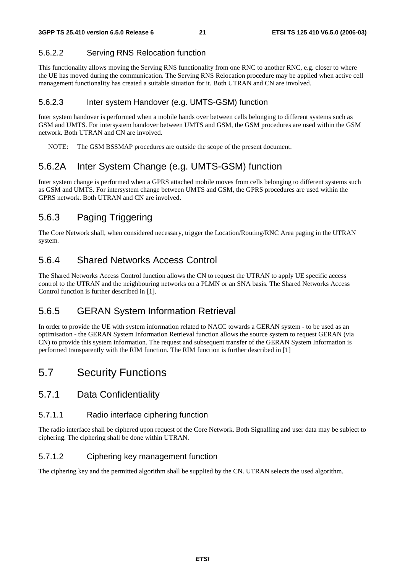#### 5.6.2.2 Serving RNS Relocation function

This functionality allows moving the Serving RNS functionality from one RNC to another RNC, e.g. closer to where the UE has moved during the communication. The Serving RNS Relocation procedure may be applied when active cell management functionality has created a suitable situation for it. Both UTRAN and CN are involved.

#### 5.6.2.3 Inter system Handover (e.g. UMTS-GSM) function

Inter system handover is performed when a mobile hands over between cells belonging to different systems such as GSM and UMTS. For intersystem handover between UMTS and GSM, the GSM procedures are used within the GSM network. Both UTRAN and CN are involved.

NOTE: The GSM BSSMAP procedures are outside the scope of the present document.

### 5.6.2A Inter System Change (e.g. UMTS-GSM) function

Inter system change is performed when a GPRS attached mobile moves from cells belonging to different systems such as GSM and UMTS. For intersystem change between UMTS and GSM, the GPRS procedures are used within the GPRS network. Both UTRAN and CN are involved.

### 5.6.3 Paging Triggering

The Core Network shall, when considered necessary, trigger the Location/Routing/RNC Area paging in the UTRAN system.

### 5.6.4 Shared Networks Access Control

The Shared Networks Access Control function allows the CN to request the UTRAN to apply UE specific access control to the UTRAN and the neighbouring networks on a PLMN or an SNA basis. The Shared Networks Access Control function is further described in [1].

### 5.6.5 GERAN System Information Retrieval

In order to provide the UE with system information related to NACC towards a GERAN system - to be used as an optimisation - the GERAN System Information Retrieval function allows the source system to request GERAN (via CN) to provide this system information. The request and subsequent transfer of the GERAN System Information is performed transparently with the RIM function. The RIM function is further described in [1]

### 5.7 Security Functions

#### 5.7.1 Data Confidentiality

#### 5.7.1.1 Radio interface ciphering function

The radio interface shall be ciphered upon request of the Core Network. Both Signalling and user data may be subject to ciphering. The ciphering shall be done within UTRAN.

#### 5.7.1.2 Ciphering key management function

The ciphering key and the permitted algorithm shall be supplied by the CN. UTRAN selects the used algorithm.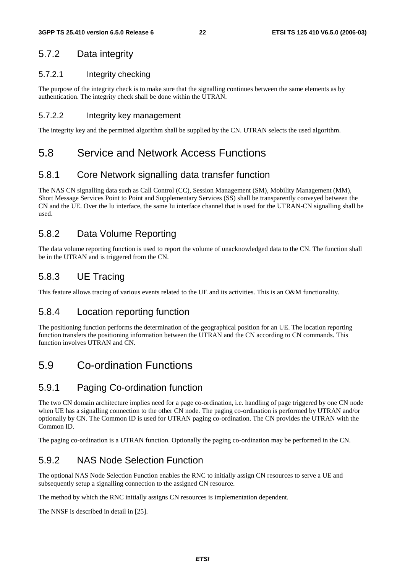### 5.7.2 Data integrity

#### 5.7.2.1 Integrity checking

The purpose of the integrity check is to make sure that the signalling continues between the same elements as by authentication. The integrity check shall be done within the UTRAN.

#### 5.7.2.2 Integrity key management

The integrity key and the permitted algorithm shall be supplied by the CN. UTRAN selects the used algorithm.

### 5.8 Service and Network Access Functions

### 5.8.1 Core Network signalling data transfer function

The NAS CN signalling data such as Call Control (CC), Session Management (SM), Mobility Management (MM), Short Message Services Point to Point and Supplementary Services (SS) shall be transparently conveyed between the CN and the UE. Over the Iu interface, the same Iu interface channel that is used for the UTRAN-CN signalling shall be used.

### 5.8.2 Data Volume Reporting

The data volume reporting function is used to report the volume of unacknowledged data to the CN. The function shall be in the UTRAN and is triggered from the CN.

### 5.8.3 UE Tracing

This feature allows tracing of various events related to the UE and its activities. This is an O&M functionality.

#### 5.8.4 Location reporting function

The positioning function performs the determination of the geographical position for an UE. The location reporting function transfers the positioning information between the UTRAN and the CN according to CN commands. This function involves UTRAN and CN.

## 5.9 Co-ordination Functions

### 5.9.1 Paging Co-ordination function

The two CN domain architecture implies need for a page co-ordination, i.e. handling of page triggered by one CN node when UE has a signalling connection to the other CN node. The paging co-ordination is performed by UTRAN and/or optionally by CN. The Common ID is used for UTRAN paging co-ordination. The CN provides the UTRAN with the Common ID.

The paging co-ordination is a UTRAN function. Optionally the paging co-ordination may be performed in the CN.

### 5.9.2 NAS Node Selection Function

The optional NAS Node Selection Function enables the RNC to initially assign CN resources to serve a UE and subsequently setup a signalling connection to the assigned CN resource.

The method by which the RNC initially assigns CN resources is implementation dependent.

The NNSF is described in detail in [25].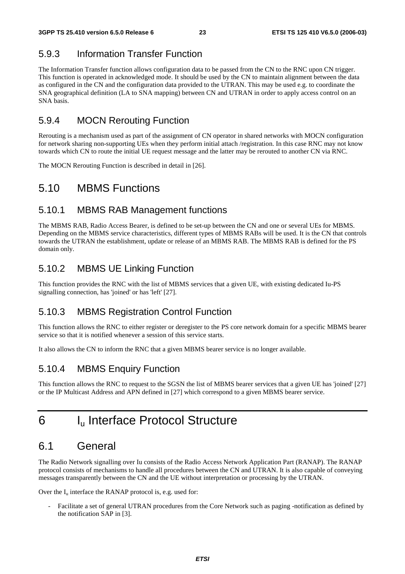## 5.9.3 Information Transfer Function

The Information Transfer function allows configuration data to be passed from the CN to the RNC upon CN trigger. This function is operated in acknowledged mode. It should be used by the CN to maintain alignment between the data as configured in the CN and the configuration data provided to the UTRAN. This may be used e.g. to coordinate the SNA geographical definition (LA to SNA mapping) between CN and UTRAN in order to apply access control on an SNA basis.

### 5.9.4 MOCN Rerouting Function

Rerouting is a mechanism used as part of the assignment of CN operator in shared networks with MOCN configuration for network sharing non-supporting UEs when they perform initial attach /registration. In this case RNC may not know towards which CN to route the initial UE request message and the latter may be rerouted to another CN via RNC.

The MOCN Rerouting Function is described in detail in [26].

## 5.10 MBMS Functions

### 5.10.1 MBMS RAB Management functions

The MBMS RAB, Radio Access Bearer, is defined to be set-up between the CN and one or several UEs for MBMS. Depending on the MBMS service characteristics, different types of MBMS RABs will be used. It is the CN that controls towards the UTRAN the establishment, update or release of an MBMS RAB. The MBMS RAB is defined for the PS domain only.

### 5.10.2 MBMS UE Linking Function

This function provides the RNC with the list of MBMS services that a given UE, with existing dedicated Iu-PS signalling connection, has 'joined' or has 'left' [27].

### 5.10.3 MBMS Registration Control Function

This function allows the RNC to either register or deregister to the PS core network domain for a specific MBMS bearer service so that it is notified whenever a session of this service starts.

It also allows the CN to inform the RNC that a given MBMS bearer service is no longer available.

### 5.10.4 MBMS Enquiry Function

This function allows the RNC to request to the SGSN the list of MBMS bearer services that a given UE has 'joined' [27] or the IP Multicast Address and APN defined in [27] which correspond to a given MBMS bearer service.

## 6 Iu Interface Protocol Structure

## 6.1 General

The Radio Network signalling over Iu consists of the Radio Access Network Application Part (RANAP). The RANAP protocol consists of mechanisms to handle all procedures between the CN and UTRAN. It is also capable of conveying messages transparently between the CN and the UE without interpretation or processing by the UTRAN.

Over the  $I_u$  interface the RANAP protocol is, e.g. used for:

- Facilitate a set of general UTRAN procedures from the Core Network such as paging -notification as defined by the notification SAP in [3].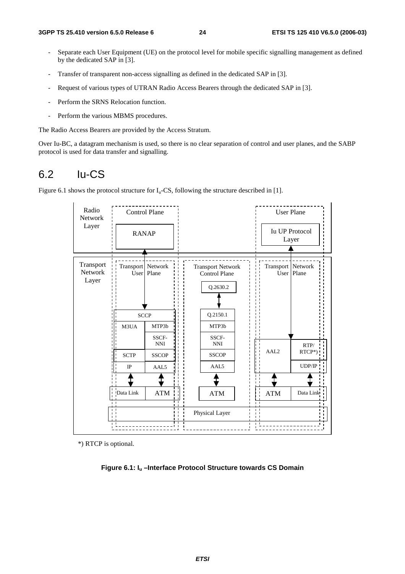- Separate each User Equipment (UE) on the protocol level for mobile specific signalling management as defined by the dedicated SAP in [3].
- Transfer of transparent non-access signalling as defined in the dedicated SAP in [3].
- Request of various types of UTRAN Radio Access Bearers through the dedicated SAP in [3].
- Perform the SRNS Relocation function.
- Perform the various MBMS procedures.

The Radio Access Bearers are provided by the Access Stratum.

Over Iu-BC, a datagram mechanism is used, so there is no clear separation of control and user planes, and the SABP protocol is used for data transfer and signalling.

### 6.2 Iu-CS

Figure 6.1 shows the protocol structure for  $I_u$ -CS, following the structure described in [1].



\*) RTCP is optional.

**Figure 6.1: Iu –Interface Protocol Structure towards CS Domain**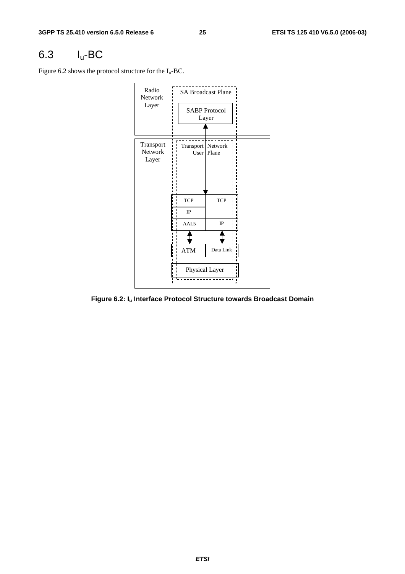## 6.3 Iu-BC

Figure 6.2 shows the protocol structure for the  $I_u$ -BC.



**Figure 6.2: Iu Interface Protocol Structure towards Broadcast Domain**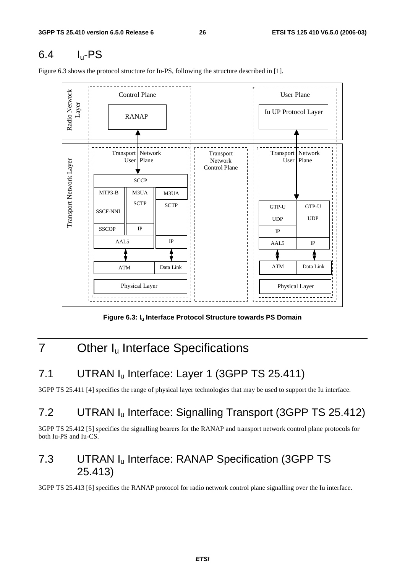## 6.4 Iu-PS

Figure 6.3 shows the protocol structure for Iu-PS, following the structure described in [1].



Figure 6.3: I<sub>u</sub> Interface Protocol Structure towards PS Domain

## 7 Other I<sub>u</sub> Interface Specifications

## 7.1 UTRAN I<sub>u</sub> Interface: Layer 1 (3GPP TS 25.411)

3GPP TS 25.411 [4] specifies the range of physical layer technologies that may be used to support the Iu interface.

## 7.2 UTRAN Iu Interface: Signalling Transport (3GPP TS 25.412)

3GPP TS 25.412 [5] specifies the signalling bearers for the RANAP and transport network control plane protocols for both Iu-PS and Iu-CS.

## 7.3 UTRAN Iu Interface: RANAP Specification (3GPP TS 25.413)

3GPP TS 25.413 [6] specifies the RANAP protocol for radio network control plane signalling over the Iu interface.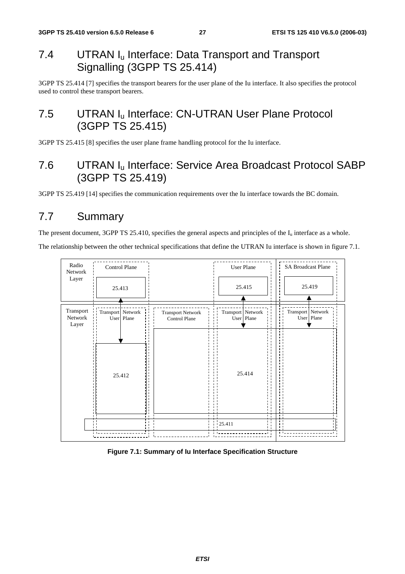## 7.4 UTRAN I<sub>u</sub> Interface: Data Transport and Transport Signalling (3GPP TS 25.414)

3GPP TS 25.414 [7] specifies the transport bearers for the user plane of the Iu interface. It also specifies the protocol used to control these transport bearers.

## 7.5 UTRAN I<sub>u</sub> Interface: CN-UTRAN User Plane Protocol (3GPP TS 25.415)

3GPP TS 25.415 [8] specifies the user plane frame handling protocol for the Iu interface.

## 7.6 UTRAN Iu Interface: Service Area Broadcast Protocol SABP (3GPP TS 25.419)

3GPP TS 25.419 [14] specifies the communication requirements over the Iu interface towards the BC domain.

## 7.7 Summary

The present document, 3GPP TS 25.410, specifies the general aspects and principles of the  $I_u$  interface as a whole.

The relationship between the other technical specifications that define the UTRAN Iu interface is shown in figure 7.1.



#### **Figure 7.1: Summary of Iu Interface Specification Structure**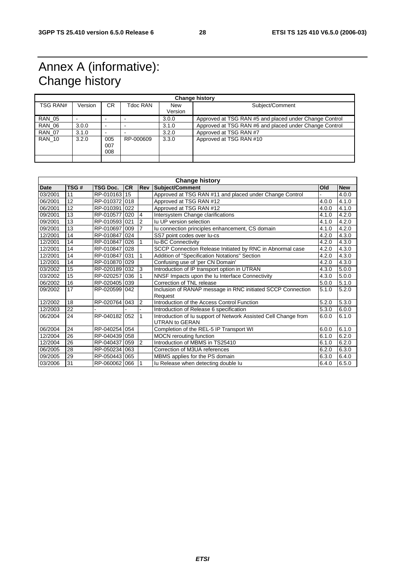## Annex A (informative): Change history

| <b>Change history</b> |         |                          |           |                       |                                                        |  |
|-----------------------|---------|--------------------------|-----------|-----------------------|--------------------------------------------------------|--|
| TSG RAN#              | Version | CR.                      | Tdoc RAN  | <b>New</b><br>Version | Subject/Comment                                        |  |
|                       |         |                          |           |                       |                                                        |  |
| <b>RAN 05</b>         |         |                          |           | 3.0.0                 | Approved at TSG RAN #5 and placed under Change Control |  |
| <b>RAN 06</b>         | 3.0.0   | $\overline{\phantom{a}}$ |           | 3.1.0                 | Approved at TSG RAN #6 and placed under Change Control |  |
| <b>RAN 07</b>         | 3.1.0   | -                        |           | 3.2.0                 | Approved at TSG RAN #7                                 |  |
| <b>RAN 10</b>         | 3.2.0   | 005<br>007<br>008        | RP-000609 | 3.3.0                 | Approved at TSG RAN #10                                |  |
|                       |         |                          |           |                       |                                                        |  |

| <b>Change history</b> |      |                 |           |                |                                                                                          |       |            |
|-----------------------|------|-----------------|-----------|----------------|------------------------------------------------------------------------------------------|-------|------------|
| <b>Date</b>           | TSG# | <b>TSG Doc.</b> | <b>CR</b> |                | <b>Rev Subject/Comment</b>                                                               | Old   | <b>New</b> |
| 03/2001               | 11   | RP-010163       | 15        |                | Approved at TSG RAN #11 and placed under Change Control                                  |       | 4.0.0      |
| 06/2001               | 12   | RP-010372 018   |           |                | Approved at TSG RAN #12                                                                  | 4.0.0 | 4.1.0      |
| 06/2001               | 12   | RP-0103911022   |           |                | Approved at TSG RAN #12                                                                  | 4.0.0 | 4.1.0      |
| 09/2001               | 13   | RP-010577       | 020       | $\overline{4}$ | Intersystem Change clarifications                                                        | 4.1.0 | 4.2.0      |
| 09/2001               | 13   | RP-010593       | 021       | $\overline{2}$ | lu UP version selection                                                                  | 4.1.0 | 4.2.0      |
| 09/2001               | 13   | RP-010697       | 009       | 7              | Iu connection principles enhancement, CS domain                                          | 4.1.0 | 4.2.0      |
| 12/2001               | 14   | RP-0108471024   |           |                | SS7 point codes over lu-cs                                                               | 4.2.0 | 4.3.0      |
| 12/2001               | 14   | RP-010847       | 026       | 1              | Iu-BC Connectivity                                                                       | 4.2.0 | 4.3.0      |
| 12/2001               | 14   | RP-010847 028   |           |                | SCCP Connection Release Initiated by RNC in Abnormal case                                | 4.2.0 | 4.3.0      |
| 12/2001               | 14   | RP-010847 031   |           | 1              | Addition of "Specification Notations" Section                                            | 4.2.0 | 4.3.0      |
| 12/2001               | 14   | RP-010870       | 029       |                | Confusing use of 'per CN Domain'                                                         | 4.2.0 | 4.3.0      |
| 03/2002               | 15   | RP-020189       | 032       | 3              | Introduction of IP transport option in UTRAN                                             | 4.3.0 | 5.0.0      |
| 03/2002               | 15   | RP-020257       | 036       |                | NNSF Impacts upon the Iu Interface Connectivity                                          | 4.3.0 | 5.0.0      |
| 06/2002               | 16   | RP-020405 039   |           |                | Correction of TNL release                                                                | 5.0.0 | 5.1.0      |
| 09/2002               | 17   | RP-020599       | 042       |                | Inclusion of RANAP message in RNC initiated SCCP Connection<br>Request                   | 5.1.0 | 5.2.0      |
| 12/2002               | 18   | RP-020764       | 043       | 2              | Introduction of the Access Control Function                                              | 5.2.0 | 5.3.0      |
| 12/2003               | 22   |                 |           |                | Introduction of Release 6 specification                                                  | 5.3.0 | 6.0.0      |
| 06/2004               | 24   | RP-040182       | 052       | 1              | Introduction of Iu support of Network Assisted Cell Change from<br><b>UTRAN to GERAN</b> | 6.0.0 | 6.1.0      |
| 06/2004               | 24   | RP-040254 054   |           |                | Completion of the REL-5 IP Transport WI                                                  | 6.0.0 | 6.1.0      |
| 12/2004               | 26   | RP-040439       | 058       |                | <b>MOCN</b> rerouting function                                                           | 6.1.0 | 6.2.0      |
| 12/2004               | 26   | RP-040437       | 059       | $\overline{2}$ | Introduction of MBMS in TS25410                                                          | 6.1.0 | 6.2.0      |
| 06/2005               | 28   | RP-050234       | 063       |                | Correction of M3UA references                                                            | 6.2.0 | 6.3.0      |
| 09/2005               | 29   | RP-050443       | 065       |                | MBMS applies for the PS domain                                                           | 6.3.0 | 6.4.0      |
| 03/2006               | 31   | RP-060062 066   |           |                | Iu Release when detecting double lu                                                      | 6.4.0 | 6.5.0      |